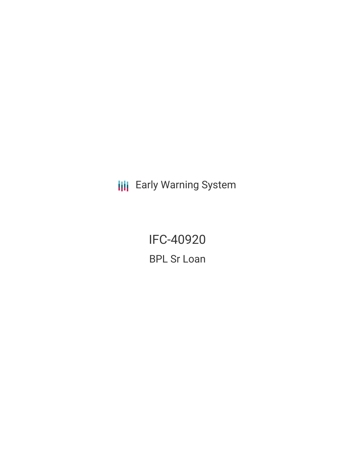**III** Early Warning System

**IFC-40920 BPL Sr Loan**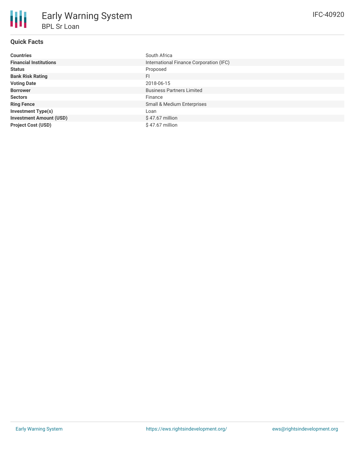# **Quick Facts**

| <b>Countries</b>               | South Africa                            |
|--------------------------------|-----------------------------------------|
| <b>Financial Institutions</b>  | International Finance Corporation (IFC) |
| <b>Status</b>                  | Proposed                                |
| <b>Bank Risk Rating</b>        | <b>FI</b>                               |
| <b>Voting Date</b>             | 2018-06-15                              |
| <b>Borrower</b>                | <b>Business Partners Limited</b>        |
| <b>Sectors</b>                 | Finance                                 |
| <b>Ring Fence</b>              | Small & Medium Enterprises              |
| <b>Investment Type(s)</b>      | Loan                                    |
| <b>Investment Amount (USD)</b> | $$47.67$ million                        |
| <b>Project Cost (USD)</b>      | $$47.67$ million                        |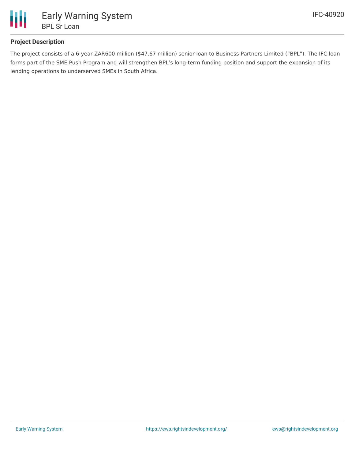

## **Project Description**

The project consists of a 6-year ZAR600 million (\$47.67 million) senior loan to Business Partners Limited ("BPL"). The IFC loan forms part of the SME Push Program and will strengthen BPL's long-term funding position and support the expansion of its lending operations to underserved SMEs in South Africa.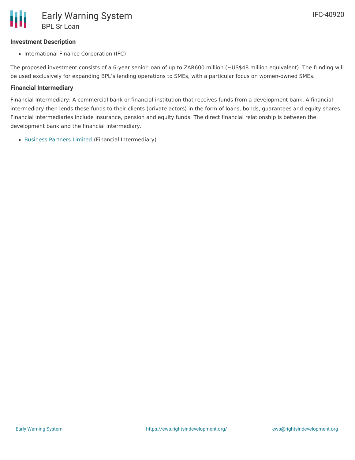### **Investment Description**

• International Finance Corporation (IFC)

The proposed investment consists of a 6-year senior loan of up to ZAR600 million (~US\$48 million equivalent). The funding will be used exclusively for expanding BPL's lending operations to SMEs, with a particular focus on women-owned SMEs.

### **Financial Intermediary**

Financial Intermediary: A commercial bank or financial institution that receives funds from a development bank. A financial intermediary then lends these funds to their clients (private actors) in the form of loans, bonds, guarantees and equity shares. Financial intermediaries include insurance, pension and equity funds. The direct financial relationship is between the development bank and the financial intermediary.

[Business](file:///actor/643/) Partners Limited (Financial Intermediary)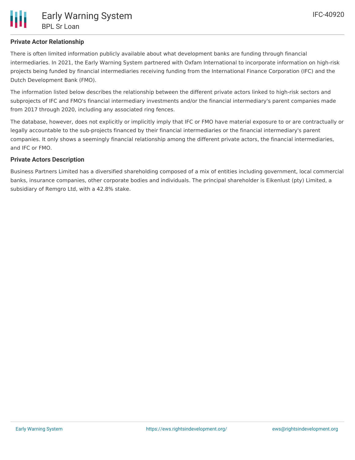There is often limited information publicly available about what development banks are funding through financial intermediaries. In 2021, the Early Warning System partnered with Oxfam International to incorporate information on high-risk projects being funded by financial intermediaries receiving funding from the International Finance Corporation (IFC) and the Dutch Development Bank (FMO).

The information listed below describes the relationship between the different private actors linked to high-risk sectors and subprojects of IFC and FMO's financial intermediary investments and/or the financial intermediary's parent companies made from 2017 through 2020, including any associated ring fences.

The database, however, does not explicitly or implicitly imply that IFC or FMO have material exposure to or are contractually or legally accountable to the sub-projects financed by their financial intermediaries or the financial intermediary's parent companies. It only shows a seemingly financial relationship among the different private actors, the financial intermediaries, and IFC or FMO.

## **Private Actors Description**

Business Partners Limited has a diversified shareholding composed of a mix of entities including government, local commercial banks, insurance companies, other corporate bodies and individuals. The principal shareholder is Eikenlust (pty) Limited, a subsidiary of Remgro Ltd, with a 42.8% stake.